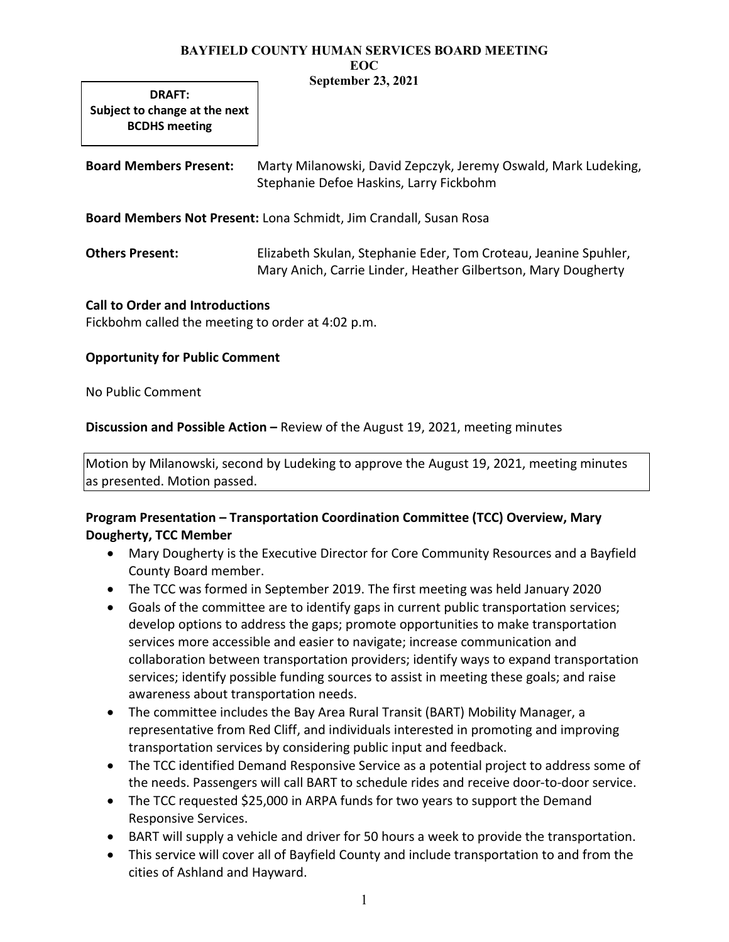DRAFT: Subject to change at the next BCDHS meeting

Board Members Present: Marty Milanowski, David Zepczyk, Jeremy Oswald, Mark Ludeking, Stephanie Defoe Haskins, Larry Fickbohm

Board Members Not Present: Lona Schmidt, Jim Crandall, Susan Rosa

Others Present: Elizabeth Skulan, Stephanie Eder, Tom Croteau, Jeanine Spuhler, Mary Anich, Carrie Linder, Heather Gilbertson, Mary Dougherty

### Call to Order and Introductions

Fickbohm called the meeting to order at 4:02 p.m.

#### Opportunity for Public Comment

No Public Comment

Discussion and Possible Action – Review of the August 19, 2021, meeting minutes

Motion by Milanowski, second by Ludeking to approve the August 19, 2021, meeting minutes as presented. Motion passed.

# Program Presentation – Transportation Coordination Committee (TCC) Overview, Mary Dougherty, TCC Member

- Mary Dougherty is the Executive Director for Core Community Resources and a Bayfield County Board member.
- The TCC was formed in September 2019. The first meeting was held January 2020
- Goals of the committee are to identify gaps in current public transportation services; develop options to address the gaps; promote opportunities to make transportation services more accessible and easier to navigate; increase communication and collaboration between transportation providers; identify ways to expand transportation services; identify possible funding sources to assist in meeting these goals; and raise awareness about transportation needs.
- The committee includes the Bay Area Rural Transit (BART) Mobility Manager, a representative from Red Cliff, and individuals interested in promoting and improving transportation services by considering public input and feedback.
- The TCC identified Demand Responsive Service as a potential project to address some of the needs. Passengers will call BART to schedule rides and receive door-to-door service.
- The TCC requested \$25,000 in ARPA funds for two years to support the Demand Responsive Services.
- BART will supply a vehicle and driver for 50 hours a week to provide the transportation.
- This service will cover all of Bayfield County and include transportation to and from the cities of Ashland and Hayward.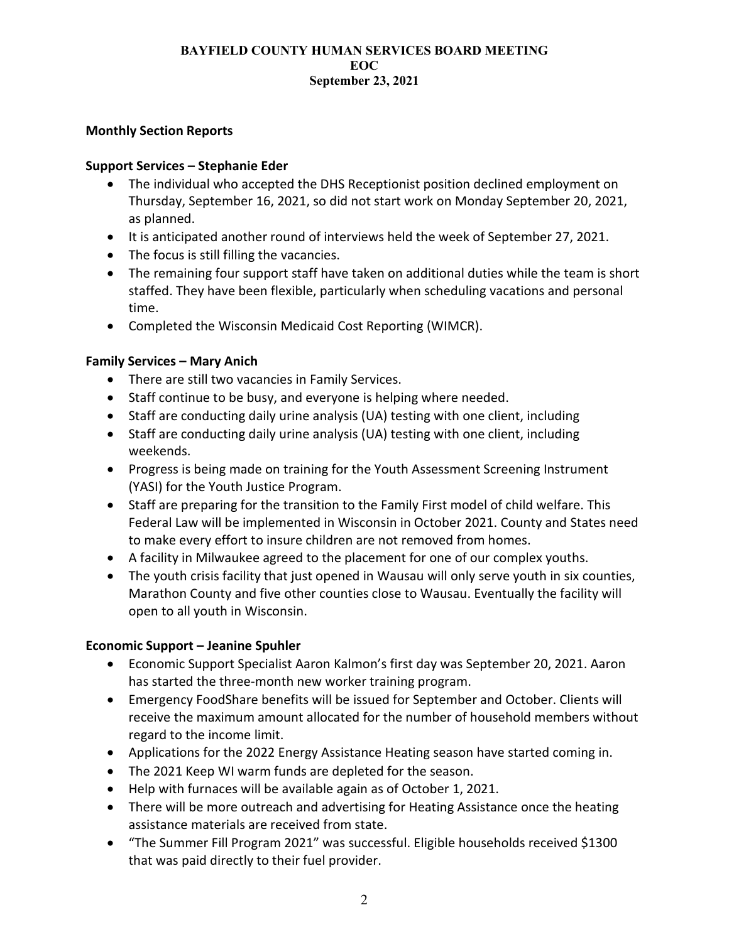# Monthly Section Reports

## Support Services – Stephanie Eder

- The individual who accepted the DHS Receptionist position declined employment on Thursday, September 16, 2021, so did not start work on Monday September 20, 2021, as planned.
- It is anticipated another round of interviews held the week of September 27, 2021.
- The focus is still filling the vacancies.
- The remaining four support staff have taken on additional duties while the team is short staffed. They have been flexible, particularly when scheduling vacations and personal time.
- Completed the Wisconsin Medicaid Cost Reporting (WIMCR).

# Family Services – Mary Anich

- There are still two vacancies in Family Services.
- Staff continue to be busy, and everyone is helping where needed.
- Staff are conducting daily urine analysis (UA) testing with one client, including
- Staff are conducting daily urine analysis (UA) testing with one client, including weekends.
- Progress is being made on training for the Youth Assessment Screening Instrument (YASI) for the Youth Justice Program.
- Staff are preparing for the transition to the Family First model of child welfare. This Federal Law will be implemented in Wisconsin in October 2021. County and States need to make every effort to insure children are not removed from homes.
- A facility in Milwaukee agreed to the placement for one of our complex youths.
- The youth crisis facility that just opened in Wausau will only serve youth in six counties, Marathon County and five other counties close to Wausau. Eventually the facility will open to all youth in Wisconsin.

# Economic Support – Jeanine Spuhler

- Economic Support Specialist Aaron Kalmon's first day was September 20, 2021. Aaron has started the three-month new worker training program.
- Emergency FoodShare benefits will be issued for September and October. Clients will receive the maximum amount allocated for the number of household members without regard to the income limit.
- Applications for the 2022 Energy Assistance Heating season have started coming in.
- The 2021 Keep WI warm funds are depleted for the season.
- Help with furnaces will be available again as of October 1, 2021.
- There will be more outreach and advertising for Heating Assistance once the heating assistance materials are received from state.
- "The Summer Fill Program 2021" was successful. Eligible households received \$1300 that was paid directly to their fuel provider.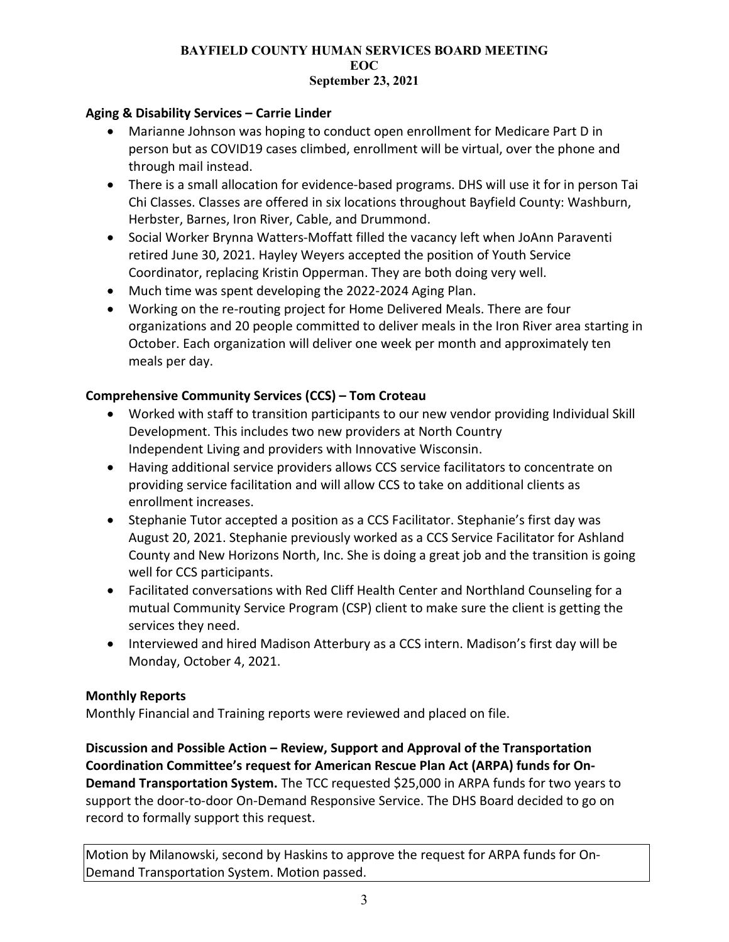# Aging & Disability Services – Carrie Linder

- Marianne Johnson was hoping to conduct open enrollment for Medicare Part D in person but as COVID19 cases climbed, enrollment will be virtual, over the phone and through mail instead.
- There is a small allocation for evidence-based programs. DHS will use it for in person Tai Chi Classes. Classes are offered in six locations throughout Bayfield County: Washburn, Herbster, Barnes, Iron River, Cable, and Drummond.
- Social Worker Brynna Watters-Moffatt filled the vacancy left when JoAnn Paraventi retired June 30, 2021. Hayley Weyers accepted the position of Youth Service Coordinator, replacing Kristin Opperman. They are both doing very well.
- Much time was spent developing the 2022-2024 Aging Plan.
- Working on the re-routing project for Home Delivered Meals. There are four organizations and 20 people committed to deliver meals in the Iron River area starting in October. Each organization will deliver one week per month and approximately ten meals per day.

# Comprehensive Community Services (CCS) – Tom Croteau

- Worked with staff to transition participants to our new vendor providing Individual Skill Development. This includes two new providers at North Country Independent Living and providers with Innovative Wisconsin.
- Having additional service providers allows CCS service facilitators to concentrate on providing service facilitation and will allow CCS to take on additional clients as enrollment increases.
- Stephanie Tutor accepted a position as a CCS Facilitator. Stephanie's first day was August 20, 2021. Stephanie previously worked as a CCS Service Facilitator for Ashland County and New Horizons North, Inc. She is doing a great job and the transition is going well for CCS participants.
- Facilitated conversations with Red Cliff Health Center and Northland Counseling for a mutual Community Service Program (CSP) client to make sure the client is getting the services they need.
- Interviewed and hired Madison Atterbury as a CCS intern. Madison's first day will be Monday, October 4, 2021.

### Monthly Reports

Monthly Financial and Training reports were reviewed and placed on file.

Discussion and Possible Action – Review, Support and Approval of the Transportation Coordination Committee's request for American Rescue Plan Act (ARPA) funds for On-Demand Transportation System. The TCC requested \$25,000 in ARPA funds for two years to support the door-to-door On-Demand Responsive Service. The DHS Board decided to go on record to formally support this request.

Motion by Milanowski, second by Haskins to approve the request for ARPA funds for On-Demand Transportation System. Motion passed.